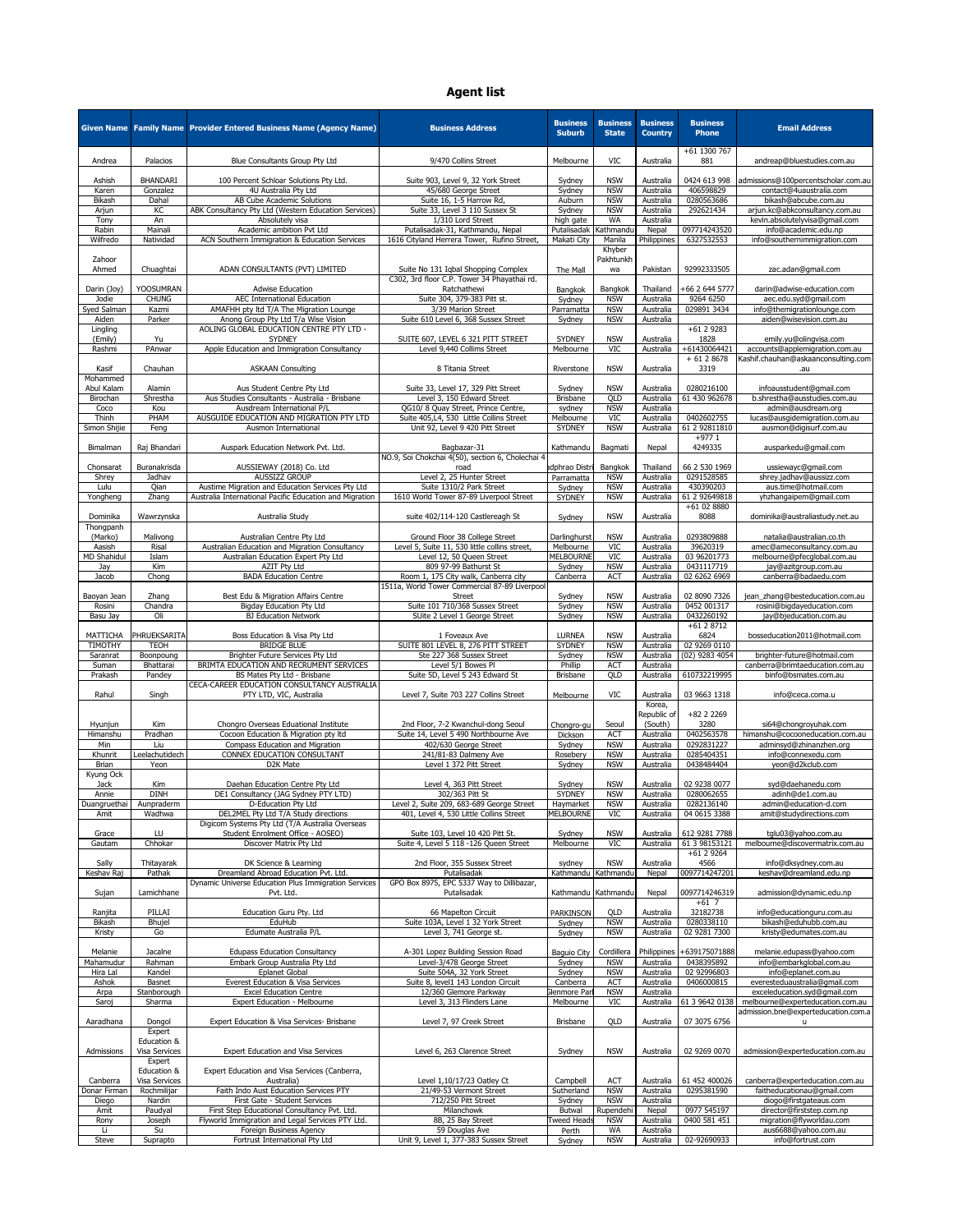|                           |                                  | Given Name   Family Name   Provider Entered Business Name (Agency Name)              | <b>Business Address</b>                                                            | <b>Business</b><br><b>Suburb</b>   | <b>Business</b><br><b>State</b> | <b>Business</b><br><b>Country</b> | <b>Business</b><br><b>Phone</b>             | <b>Email Address</b>                                                    |
|---------------------------|----------------------------------|--------------------------------------------------------------------------------------|------------------------------------------------------------------------------------|------------------------------------|---------------------------------|-----------------------------------|---------------------------------------------|-------------------------------------------------------------------------|
| Andrea                    | Palacios                         | Blue Consultants Group Pty Ltd                                                       | 9/470 Collins Street                                                               | Melbourne                          | <b>VIC</b>                      | Australia                         | +61 1300 767<br>881                         | andreap@bluestudies.com.au                                              |
| Ashish                    | <b>BHANDARI</b>                  | 100 Percent Schloar Solutions Pty Ltd.                                               | Suite 903, Level 9, 32 York Street                                                 | Sydney                             | <b>NSW</b>                      | Australia                         | 0424 613 998                                | admissions@100percentscholar.com.au                                     |
| Karen<br><b>Bikash</b>    | Gonzalez<br>Dahal                | 4U Australia Pty Ltd<br>AB Cube Academic Solutions                                   | 45/680 George Street<br>Suite 16, 1-5 Harrow Rd,                                   | Sydney<br>Auburn                   | <b>NSW</b><br><b>NSW</b>        | Australia<br>Australia            | 406598829<br>0280563686                     | contact@4uaustralia.com<br>bikash@abcube.com.au                         |
| Arjun                     | K <sub>C</sub>                   | ABK Consultancy Pty Ltd (Western Education Services)                                 | Suite 33, Level 3 110 Sussex St                                                    | Sydney                             | <b>NSW</b>                      | Australia                         | 292621434                                   | arjun.kc@abkconsultancy.com.au                                          |
| Tony                      | An<br>Mainali                    | Absolutely visa<br>Academic ambition Pvt Ltd                                         | 1/310 Lord Street                                                                  | high gate<br>Putalisadak Kathmandu | <b>WA</b>                       | Australia                         |                                             | kevin.absolutelyvisa@gmail.com                                          |
| Rabin<br>Wilfredo         | Natividad                        | ACN Southern Immigration & Education Services                                        | Putalisadak-31, Kathmandu, Nepal<br>1616 Cityland Herrera Tower, Rufino Street,    | Makati City                        | Manila                          | Nepal<br>Philippines              | 097714243520<br>6327532553                  | info@academic.edu.np<br>info@southernimmigration.com                    |
|                           |                                  |                                                                                      |                                                                                    |                                    | Khyber                          |                                   |                                             |                                                                         |
| Zahoor<br>Ahmed           | Chuaghtai                        | ADAN CONSULTANTS (PVT) LIMITED                                                       | Suite No 131 Iqbal Shopping Complex<br>C302, 3rd floor C.P. Tower 34 Phayathai rd. | The Mall                           | Pakhtunkh<br>wa                 | Pakistan                          | 92992333505                                 | zac.adan@gmail.com                                                      |
| Darin (Joy)<br>Jodie      | <b>YOOSUMRAN</b><br><b>CHUNG</b> | <b>Adwise Education</b><br><b>AEC International Education</b>                        | Ratchathewi<br>Suite 304, 379-383 Pitt st.                                         | Bangkok<br>Sydney                  | Bangkok<br><b>NSW</b>           | Thailand<br>Australia             | +66 2 644 5777<br>9264 6250                 | darin@adwise-education.com<br>aec.edu.syd@gmail.com                     |
| Syed Salman               | Kazmi                            | AMAFHH pty ltd T/A The Migration Lounge                                              | 3/39 Marion Street                                                                 | Parramatta                         | <b>NSW</b>                      | Australia                         | 029891 3434                                 | info@themigrationlounge.com                                             |
| Aiden<br>Lingling         | Parker                           | Anong Group Pty Ltd T/a Wise Vision<br>AOLING GLOBAL EDUCATION CENTRE PTY LTD -      | Suite 610 Level 6, 368 Sussex Street                                               | Sydney                             | <b>NSW</b>                      | Australia                         | $+6129283$                                  | aiden@wisevision.com.au                                                 |
| (Emily)                   | Yu<br>PAnwar                     | <b>SYDNEY</b>                                                                        | SUITE 607, LEVEL 6 321 PITT STREET                                                 | <b>SYDNEY</b>                      | <b>NSW</b><br><b>VIC</b>        | Australia                         | 1828<br>+61430064421                        | emily.yu@olingvisa.com                                                  |
| Rashmi                    |                                  | Apple Education and Immigration Consultancy                                          | Level 9,440 Collims Street                                                         | Melbourne                          |                                 | Australia                         | $+6128678$                                  | accounts@applemigration.com.au<br>Kashif.chauhan@askaanconsulting.com   |
| Kasif<br>Mohammed         | Chauhan                          | <b>ASKAAN Consulting</b>                                                             | 8 Titania Street                                                                   | Riverstone                         | <b>NSW</b>                      | Australia                         | 3319                                        | .au                                                                     |
| Abul Kalam                | Alamin                           | Aus Student Centre Pty Ltd                                                           | Suite 33, Level 17, 329 Pitt Street                                                | Sydney                             | <b>NSW</b>                      | Australia                         | 0280216100                                  | infoausstudent@gmail.com                                                |
| Birochan                  | Shrestha                         | Aus Studies Consultants - Australia - Brisbane                                       | Level 3, 150 Edward Street                                                         | <b>Brisbane</b>                    | QLD                             | Australia                         | 61 430 962678                               | b.shrestha@ausstudies.com.au                                            |
| Coco<br>Thinh             | Kou<br>PHAM                      | Ausdream International P/L<br>AUSGUIDE EDUCATION AND MIGRATION PTY LTD               | QG10/ 8 Quay Street, Prince Centre,<br>Suite 405,L4, 530 Little Collins Street     | sydney<br>Melbourne                | <b>NSW</b><br>VIC               | Australia<br>Australia            | 0402602755                                  | admin@ausdream.org<br>lucas@ausgidemigration.com.au                     |
| Simon Shijie              | Feng                             | Ausmon International                                                                 | Unit 92, Level 9 420 Pitt Street                                                   | <b>SYDNEY</b>                      | <b>NSW</b>                      | Australia                         | 61 2 92811810                               | ausmon@digisurf.com.au                                                  |
| Bimalman                  | Raj Bhandari                     | Auspark Education Network Pvt. Ltd.                                                  | Bagbazar-31                                                                        | Kathmandu                          | Bagmati                         | Nepal                             | $+9771$<br>4249335                          | ausparkedu@gmail.com                                                    |
|                           |                                  |                                                                                      | NO.9, Soi Chokchai 4(50), section 6, Cholechai 4                                   |                                    |                                 |                                   |                                             |                                                                         |
| Chonsarat<br>Shrey        | Buranakrisda<br>Jadhav           | AUSSIEWAY (2018) Co. Ltd<br><b>AUSSIZZ GROUP</b>                                     | road<br>Level 2, 25 Hunter Street                                                  | adphrao Distri<br>Parramatta       | Bangkok<br><b>NSW</b>           | Thailand<br>Australia             | 66 2 530 1969<br>0291528585                 | ussiewayc@gmail.com<br>shrey.jadhav@aussizz.com                         |
| Lulu                      | Qian                             | Austime Migration and Education Services Pty Ltd                                     | Suite 1310/2 Park Street                                                           | Sydney                             | <b>NSW</b>                      | Australia                         | 430390203                                   | aus.time@hotmail.com                                                    |
| Yongheng                  | Zhang                            | Australia International Pacific Education and Migration                              | 1610 World Tower 87-89 Liverpool Street                                            | <b>SYDNEY</b>                      | <b>NSW</b>                      | Australia                         | 61 2 92649818<br>+61 02 8880                | yhzhangaipem@gmail.com                                                  |
| Dominika                  | Wawrzynska                       | Australia Study                                                                      | suite 402/114-120 Castlereagh St                                                   | Sydney                             | <b>NSW</b>                      | Australia                         | 8088                                        | dominika@australiastudy.net.au                                          |
| Thongpanh<br>(Marko)      | Malivong                         | Australian Centre Pty Ltd                                                            | Ground Floor 38 College Street                                                     | Darlinghurst                       | <b>NSW</b>                      | Australia                         | 0293809888                                  | natalia@australian.co.th                                                |
| Aasish                    | Risal                            | Australian Education and Migration Consultancy                                       | Level 5, Suite 11, 530 little collins street,                                      | Melbourne                          | VIC                             | Australia                         | 39620319                                    | amec@ameconsultancy.com.au                                              |
| MD Shahidul<br>Jay        | Islam<br>Kim                     | Australian Education Expert Pty Ltd<br>AZIT Pty Ltd                                  | Level 12, 50 Queen Street<br>809 97-99 Bathurst St                                 | <b>MELBOURNE</b><br>Sydney         | <b>VIC</b><br><b>NSW</b>        | Australia<br>Australia            | 03 96201773<br>0431117719                   | melbourne@pfecglobal.com.au<br>jay@azitgroup.com.au                     |
| Jacob                     | Chong                            | <b>BADA Education Centre</b>                                                         | Room 1, 175 City walk, Canberra city                                               | Canberra                           | <b>ACT</b>                      | Australia                         | 02 6262 6969                                | canberra@badaedu.com                                                    |
| Baoyan Jean               | Zhang                            | Best Edu & Migration Affairs Centre                                                  | 1511a, World Tower Commercial 87-89 Liverpool<br><b>Street</b>                     | Sydney                             | <b>NSW</b>                      | Australia                         | 02 8090 7326                                | jean_zhang@besteducation.com.au                                         |
| Rosini                    | Chandra                          | <b>Bigday Education Pty Ltd</b>                                                      | Suite 101 710/368 Sussex Street                                                    | Sydney                             | <b>NSW</b>                      | Australia                         | 0452 001317                                 | rosini@bigdayeducation.com                                              |
| Basu Jay                  | Oli                              | <b>BJ Education Network</b>                                                          | SUite 2 Level 1 George Street                                                      | Sydney                             | <b>NSW</b>                      | Australia                         | 0432260192<br>+61 2 8712                    | jay@bjeducation.com.au                                                  |
| <b>MATTICHA</b>           | PHRUEKSARITA                     | Boss Education & Visa Pty Ltd                                                        | 1 Foveaux Ave                                                                      | <b>LURNEA</b>                      | <b>NSW</b>                      | Australia                         | 6824                                        | bosseducation2011@hotmail.com                                           |
| TIMOTHY<br>Saranrat       | <b>TEOH</b><br>Boonpoung         | <b>BRIDGE BLUE</b><br>Brighter Future Services Pty Ltd                               | SUITE 801 LEVEL 8, 276 PITT STREET<br>Ste 227 368 Sussex Street                    | <b>SYDNEY</b><br>Sydney            | <b>NSW</b><br><b>NSW</b>        | Australia<br>Australia            | $\overline{0292690110}$<br>$(02)$ 9283 4054 | brighter-future@hotmail.com                                             |
| Suman                     | Bhattarai                        | BRIMTA EDUCATION AND RECRUMENT SERVICES                                              | Level 5/1 Bowes Pl                                                                 | Phillip                            | <b>ACT</b>                      | Australia                         |                                             | canberra@brimtaeducation.com.au                                         |
| Prakash                   | Pandey                           | BS Mates Pty Ltd - Brisbane<br>CECA-CAREER EDUCATION CONSULTANCY AUSTRALIA           | Suite 5D, Level 5 243 Edward St                                                    | <b>Brisbane</b>                    | QLD                             | Australia                         | 610732219995                                | binfo@bsmates.com.au                                                    |
| Rahul                     | Singh                            | PTY LTD, VIC, Australia                                                              | Level 7, Suite 703 227 Collins Street                                              | Melbourne                          | <b>VIC</b>                      | Australia                         | 03 9663 1318                                | info@ceca.coma.u                                                        |
|                           |                                  |                                                                                      |                                                                                    |                                    |                                 | Korea,<br>Republic of             | +82 2 2 2 6 9                               |                                                                         |
| Hyunjun                   | Kim                              | Chongro Overseas Eduational Institute                                                | 2nd Floor, 7-2 Kwanchul-dong Seoul                                                 | Chongro-gu                         | Seoul                           | (South)                           | 3280                                        | si64@chongroyuhak.com                                                   |
| Himanshu<br>Min           | Pradhan<br>Liu                   | Cocoon Education & Migration pty ltd<br>Compass Education and Migration              | Suite 14, Level 5 490 Northbourne Ave<br>402/630 George Street                     | Dickson<br>Sydney                  | <b>ACT</b><br><b>NSW</b>        | Australia<br>Australia            | 0402563578<br>0292831227                    | himanshu@cocooneducation.com.au<br>adminsyd@zhinanzhen.org              |
| Khunrit                   | Leelachutidech                   | <b>CONNEX EDUCATION CONSULTANT</b>                                                   | 241/81-83 Dalmeny Ave                                                              | Rosebery                           | <b>NSW</b>                      | Australia                         | 0285404351                                  | info@connexedu.com                                                      |
| <b>Brian</b><br>Kyung Ock | Yeon                             | D2K Mate                                                                             | Level 1 372 Pitt Street                                                            | Sydney                             | <b>NSW</b>                      | Australia                         | 0438484404                                  | yeon@d2kclub.com                                                        |
| Jack                      | Kim                              | Daehan Education Centre Pty Ltd                                                      | Level 4, 363 Pitt Street                                                           | Sydney                             | <b>NSW</b>                      | Australia                         | 02 9238 0077                                | syd@daehanedu.com                                                       |
| Annie<br>Duangruethai     | <b>DINH</b><br>Aunpraderm        | DE1 Consultancy (JAG Sydney PTY LTD)<br>D-Education Pty Ltd                          | 302/363 Pitt St<br>Level 2, Suite 209, 683-689 George Street                       | <b>SYDNEY</b><br>Haymarket         | <b>NSW</b><br><b>NSW</b>        | Australia<br>Australia            | 0280062655<br>0282136140                    | adinh@de1.com.au<br>admin@education-d.com                               |
| Amit                      | Wadhwa                           | DEL2MEL Pty Ltd T/A Study directions                                                 | 401, Level 4, 530 Little Collins Street                                            | <b>MELBOURNE</b>                   | <b>VIC</b>                      | Australia                         | 04 0615 3388                                | amit@studydirections.com                                                |
| Grace                     | LU                               | Digicom Systems Pty Ltd (T/A Australia Overseas<br>Student Enrolment Office - AOSEO) | Suite 103, Level 10 420 Pitt St.                                                   | Sydney                             | <b>NSW</b>                      | Australia                         | 612 9281 7788                               | tglu03@yahoo.com.au                                                     |
| Gautam                    | Chhokar                          | Discover Matrix Pty Ltd                                                              | Suite 4, Level 5 118 -126 Queen Street                                             | Melbourne                          | <b>VIC</b>                      | Australia                         | 61 3 98153121                               | melbourne@discovermatrix.com.au                                         |
| Sally                     | Thitayarak                       | DK Science & Learning                                                                | 2nd Floor, 355 Sussex Street                                                       | sydney                             | <b>NSW</b>                      | Australia                         | +61 2 9264<br>4566                          | info@dksydney.com.au                                                    |
| Keshav Raj                | Pathak                           | Dreamland Abroad Education Pvt. Ltd.                                                 | Putalisadak                                                                        | Kathmandu Kathmandu                |                                 | Nepal                             | 0097714247201                               | keshav@dreamland.edu.np                                                 |
| Sujan                     | Lamichhane                       | Dynamic Universe Education Plus Immigration Services<br>Pvt. Ltd.                    | GPO Box 8975, EPC 5337 Way to Dillibazar,<br>Putalisadak                           | Kathmandu   Kathmandu              |                                 | Nepal                             | 0097714246319                               | admission@dynamic.edu.np                                                |
|                           |                                  |                                                                                      |                                                                                    |                                    |                                 |                                   | $+61$ 7                                     |                                                                         |
| Ranjita<br>Bikash         | PILLAI<br>Bhujel                 | Education Guru Pty. Ltd<br>EduHub                                                    | 66 Mapelton Circuit<br>Suite 103A, Level 1 32 York Street                          | <b>PARKINSON</b><br>Sydney         | QLD<br><b>NSW</b>               | Australia<br>Australia            | 32182738<br>0280338110                      | info@educationguru.com.au<br>bikash@eduhubb.com.au                      |
| Kristy                    | Go                               | Edumate Australia P/L                                                                | Level 3, 741 George st.                                                            | Sydney                             | <b>NSW</b>                      | Australia                         | 02 9281 7300                                | kristy@edumates.com.au                                                  |
| Melanie                   | Jacalne                          | <b>Edupass Education Consultancy</b>                                                 | A-301 Lopez Building Session Road                                                  | <b>Baguio City</b>                 | Cordillera                      |                                   | Philippines +639175071888                   | melanie.edupass@yahoo.com                                               |
| Mahamudur                 | Rahman                           | Embark Group Australia Pty Ltd                                                       | Level-3/478 George Street                                                          | Sydney                             | <b>NSW</b>                      | Australia                         | 0438395892                                  | info@embarkglobal.com.au                                                |
| Hira Lal<br>Ashok         | Kandel<br><b>Basnet</b>          | <b>Eplanet Global</b><br>Everest Education & Visa Services                           | Suite 504A, 32 York Street<br>Suite 8, level1 143 London Circuit                   | Sydney<br>Canberra                 | <b>NSW</b><br><b>ACT</b>        | Australia<br>Australia            | 02 92996803<br>0406000815                   | info@eplanet.com.au<br>everesteduaustralia@gmail.com                    |
| Arpa                      | Stanborough                      | <b>Excel Education Centre</b>                                                        | 12/360 Glemore Parkway                                                             | Glenmore Parl                      | <b>NSW</b>                      | Australia                         |                                             | exceleducation.syd@gmail.com                                            |
| Saroj                     | Sharma                           | <b>Expert Education - Melbourne</b>                                                  | Level 3, 313 Flinders Lane                                                         | Melbourne                          | <b>VIC</b>                      | Australia                         | 61 3 9642 0138                              | melbourne@experteducation.com.au<br>admission.bne@experteducation.com.a |
| Aaradhana                 | Dongol                           | Expert Education & Visa Services- Brisbane                                           | Level 7, 97 Creek Street                                                           | <b>Brisbane</b>                    | QLD                             | Australia                         | 07 3075 6756                                |                                                                         |
|                           | Expert<br>Education &            |                                                                                      |                                                                                    |                                    |                                 |                                   |                                             |                                                                         |
| Admissions                | Visa Services                    | <b>Expert Education and Visa Services</b>                                            | Level 6, 263 Clarence Street                                                       | Sydney                             | <b>NSW</b>                      | Australia                         | 02 9269 0070                                | admission@experteducation.com.au                                        |
|                           | Expert<br>Education &            | Expert Education and Visa Services (Canberra,                                        |                                                                                    |                                    |                                 |                                   |                                             |                                                                         |
| Canberra                  | Visa Services                    | Australia)                                                                           | Level 1,10/17/23 Oatley Ct                                                         | Campbell                           | <b>ACT</b>                      | Australia                         | 61 452 400026                               | canberra@experteducation.com.au                                         |
| Donar Firman<br>Diego     | Rochmilijar<br>Nardin            | Faith Indo Aust Education Services PTY<br>First Gate - Student Services              | 21/49-53 Vermont Street<br>712/250 Pitt Street                                     | Sutherland<br>Sydney               | <b>NSW</b><br><b>NSW</b>        | Australia<br>Australia            | 0295381590                                  | faitheducationau@gmail.com<br>diogo@firstgateaus.com                    |
| Amit                      | Paudyal                          | First Step Educational Consultancy Pvt. Ltd.                                         | Milanchowk                                                                         | <b>Butwal</b>                      | Rupendehi                       | Nepal                             | 0977 545197                                 | director@firststep.com.np                                               |
| Rony<br>Li                | Joseph<br>Su                     | Flyworld Immigration and Legal Services PTY Ltd.<br>Foreign Business Agency          | 8B, 25 Bay Street<br>59 Douglas Ave                                                | Tweed Heads<br>Perth               | <b>NSW</b><br>WA                | Australia<br>Australia            | 0400 581 451                                | migration@flyworldau.com<br>aus6688@yahoo.com.au                        |
| Steve                     | Suprapto                         | Fortrust International Pty Ltd                                                       | Unit 9, Level 1, 377-383 Sussex Street                                             | Sydney                             | <b>NSW</b>                      | Australia                         | 02-92690933                                 | info@fortrust.com                                                       |

## **Agent list**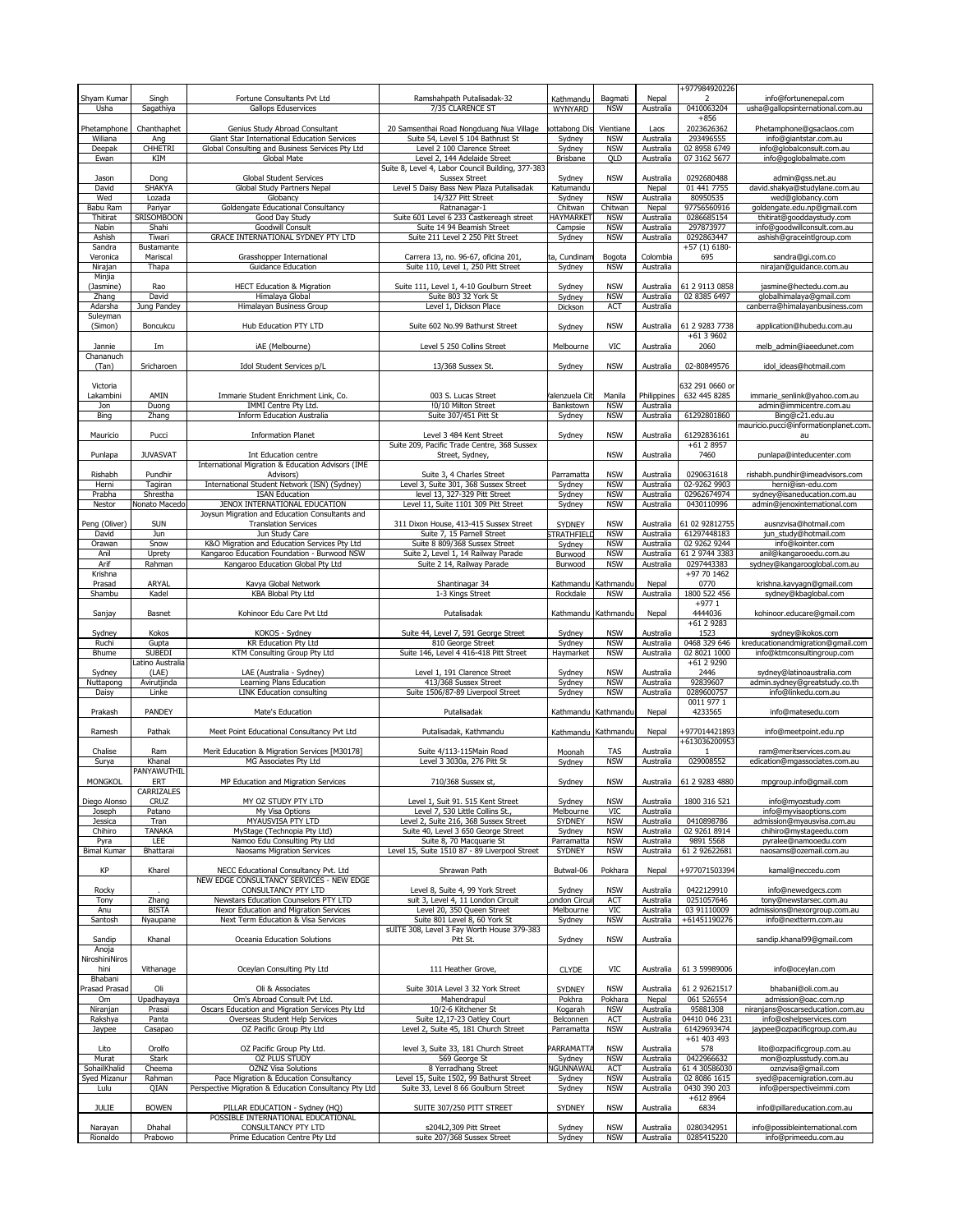|                        |                           |                                                                                                 |                                                                                  |                         |                          |                        | +977984920226                |                                                             |
|------------------------|---------------------------|-------------------------------------------------------------------------------------------------|----------------------------------------------------------------------------------|-------------------------|--------------------------|------------------------|------------------------------|-------------------------------------------------------------|
| Shyam Kumar            | Singh                     | Fortune Consultants Pvt Ltd                                                                     | Ramshahpath Putalisadak-32                                                       | Kathmandu               | Bagmati                  | Nepal                  | $\mathcal{L}$                | info@fortunenepal.com                                       |
| Usha                   | Sagathiya                 | <b>Gallops Eduservices</b>                                                                      | 7/35 CLARENCE ST                                                                 | <b>WYNYARD</b>          | <b>NSW</b>               | Australia              | 0410063204                   | usha@gallopsinternational.com.au                            |
|                        |                           |                                                                                                 |                                                                                  |                         |                          |                        | $+856$                       |                                                             |
| Phetamphone<br>Wiliana | Chanthaphet<br>Ang        | Genius Study Abroad Consultant<br>Giant Star International Education Services                   | 20 Samsenthai Road Nongduang Nua Village<br>Suite 54, Level 5 104 Bathrust St    | ottabong Dis<br>Sydney  | Vientiane<br><b>NSW</b>  | Laos<br>Australia      | 2023626362<br>293496555      | Phetamphone@gsaclaos.com<br>info@giantstar.com.au           |
| Deepak                 | <b>CHHETRI</b>            | Global Consulting and Business Services Pty Ltd                                                 | Level 2 100 Clarence Street                                                      | Sydney                  | <b>NSW</b>               | Australia              | 02 8958 6749                 | info@globalconsult.com.au                                   |
| Ewan                   | <b>KIM</b>                | Global Mate                                                                                     | Level 2, 144 Adelaide Street                                                     | <b>Brisbane</b>         | QLD                      | Australia              | 07 3162 5677                 | info@goglobalmate.com                                       |
|                        |                           |                                                                                                 | Suite 8, Level 4, Labor Council Building, 377-383                                |                         |                          |                        |                              |                                                             |
| Jason                  | Dong                      | <b>Global Student Services</b>                                                                  | <b>Sussex Street</b>                                                             | Sydney                  | <b>NSW</b>               | Australia              | 0292680488                   | admin@gss.net.au                                            |
| David                  | <b>SHAKYA</b>             | Global Study Partners Nepal                                                                     | Level 5 Daisy Bass New Plaza Putalisadak                                         | Katumandu               |                          | Nepal                  | 01 441 7755                  | david.shakya@studylane.com.au                               |
| Wed<br>Babu Ram        | Lozada<br>Pariyar         | Globancy<br>Goldengate Educational Consultancy                                                  | 14/327 Pitt Street<br>Ratnanagar-1                                               | Sydney<br>Chitwan       | <b>NSW</b><br>Chitwan    | Australia<br>Nepal     | 80950535<br>97756560916      | wed@globancy.com<br>goldengate.edu.np@gmail.com             |
| Thitirat               | <b>SRISOMBOON</b>         | Good Day Study                                                                                  | Suite 601 Level 6 233 Castkereagh street                                         | <b>HAYMARKET</b>        | <b>NSW</b>               | Australia              | 0286685154                   | thitirat@gooddaystudy.com                                   |
| Nabin                  | Shahi                     | Goodwill Consult                                                                                | Suite 14 94 Beamish Street                                                       | Campsie                 | <b>NSW</b>               | Australia              | 297873977                    | info@goodwillconsult.com.au                                 |
| Ashish                 | Tiwari                    | <b>GRACE INTERNATIONAL SYDNEY PTY LTD</b>                                                       | Suite 211 Level 2 250 Pitt Street                                                | Sydney                  | <b>NSW</b>               | Australia              | 0292863447                   | ashish@graceintlgroup.com                                   |
| Sandra                 | <b>Bustamante</b>         |                                                                                                 |                                                                                  |                         |                          |                        | $+57(1)6180-$                |                                                             |
| Veronica               | Mariscal                  | Grasshopper International                                                                       | Carrera 13, no. 96-67, oficina 201,                                              | ta, Cundinam            | Bogota                   | Colombia               | 695                          | sandra@gi.com.co                                            |
| Nirajan<br>Minjia      | Thapa                     | <b>Guidance Education</b>                                                                       | Suite 110, Level 1, 250 Pitt Street                                              | Sydney                  | <b>NSW</b>               | Australia              |                              | nirajan@guidance.com.au                                     |
| (Jasmine)              | Rao                       | <b>HECT Education &amp; Migration</b>                                                           | Suite 111, Level 1, 4-10 Goulburn Street                                         | Sydney                  | <b>NSW</b>               | Australia              | 61 2 9113 0858               | jasmine@hectedu.com.au                                      |
| Zhang                  | David                     | Himalaya Global                                                                                 | Suite 803 32 York St                                                             | Sydney                  | <b>NSW</b>               | Australia              | 02 8385 6497                 | globalhimalaya@gmail.com                                    |
| Adarsha                | Jung Pandey               | Himalayan Business Group                                                                        | Level 1, Dickson Place                                                           | Dickson                 | <b>ACT</b>               | Australia              |                              | canberra@himalayanbusiness.com                              |
| Suleyman               |                           |                                                                                                 |                                                                                  |                         |                          |                        |                              |                                                             |
| (Simon)                | <b>Boncukcu</b>           | <b>Hub Education PTY LTD</b>                                                                    | Suite 602 No.99 Bathurst Street                                                  | Sydney                  | <b>NSW</b>               | Australia              | 61 2 9283 7738               | application@hubedu.com.au                                   |
|                        |                           |                                                                                                 |                                                                                  |                         |                          |                        | $+6139602$                   |                                                             |
| Jannie<br>Chananuch    | Im                        | iAE (Melbourne)                                                                                 | Level 5 250 Collins Street                                                       | Melbourne               | <b>VIC</b>               | Australia              | 2060                         | melb_admin@iaeedunet.com                                    |
| (Tan)                  | Sricharoen                | Idol Student Services p/L                                                                       | 13/368 Sussex St.                                                                | Sydney                  | <b>NSW</b>               | Australia              | 02-80849576                  | idol_ideas@hotmail.com                                      |
|                        |                           |                                                                                                 |                                                                                  |                         |                          |                        |                              |                                                             |
| Victoria               |                           |                                                                                                 |                                                                                  |                         |                          |                        | 632 291 0660 or              |                                                             |
| Lakambini              | AMIN                      | Immarie Student Enrichment Link, Co.                                                            | 003 S. Lucas Street                                                              | Valenzuela Cit          | Manila                   | Philippines            | 632 445 8285                 | immarie_senlink@yahoo.com.au                                |
| Jon                    | Duong                     | IMMI Centre Pty Ltd.                                                                            | !0/10 Milton Street                                                              | Bankstown               | <b>NSW</b>               | Australia              |                              | admin@immicentre.com.au                                     |
| Bing                   | Zhang                     | <b>Inform Education Australia</b>                                                               | Suite 307/451 Pitt St                                                            | Sydney                  | <b>NSW</b>               | Australia              | 61292801860                  | Bing@c21.edu.au                                             |
| Mauricio               | Pucci                     | <b>Information Planet</b>                                                                       | Level 3 484 Kent Street                                                          | Sydney                  | <b>NSW</b>               | Australia              | 61292836161                  | mauricio.pucci@informationplanet.com.<br>au                 |
|                        |                           |                                                                                                 | Suite 209, Pacific Trade Centre, 368 Sussex                                      |                         |                          |                        | $+6128957$                   |                                                             |
| Punlapa                | <b>JUVASVAT</b>           | Int Education centre                                                                            | Street, Sydney,                                                                  |                         | <b>NSW</b>               | Australia              | 7460                         | punlapa@inteducenter.com                                    |
|                        |                           | International Migration & Education Advisors (IME                                               |                                                                                  |                         |                          |                        |                              |                                                             |
| Rishabh                | Pundhir                   | Advisors)                                                                                       | Suite 3, 4 Charles Street                                                        | Parramatta              | <b>NSW</b>               | Australia              | 0290631618                   | rishabh.pundhir@imeadvisors.com                             |
| Herni                  | Tagiran                   | International Student Network (ISN) (Sydney)                                                    | Level 3, Suite 301, 368 Sussex Street                                            | Sydney                  | <b>NSW</b>               | Australia              | 02-9262 9903                 | herni@isn-edu.com                                           |
| Prabha<br>Nestor       | Shrestha<br>Nonato Macedo | <b>ISAN Education</b><br><b>JENOX INTERNATIONAL EDUCATION</b>                                   | level 13, 327-329 Pitt Street<br>Level 11, Suite 1101 309 Pitt Street            | Sydney<br>Sydney        | <b>NSW</b><br><b>NSW</b> | Australia<br>Australia | 02962674974<br>0430110996    | sydney@isaneducation.com.au<br>admin@jenoxinternational.com |
|                        |                           | Joysun Migration and Education Consultants and                                                  |                                                                                  |                         |                          |                        |                              |                                                             |
| Peng (Oliver)          | <b>SUN</b>                | <b>Translation Services</b>                                                                     | 311 Dixon House, 413-415 Sussex Street                                           | <b>SYDNEY</b>           | <b>NSW</b>               | Australia              | 61 02 92812755               | ausnzvisa@hotmail.com                                       |
| David                  | $J$ un                    | Jun Study Care                                                                                  | Suite 7, 15 Parnell Street                                                       | <b>STRATHFIELD</b>      | <b>NSW</b>               | Australia              | 61297448183                  | jun_study@hotmail.com                                       |
| Orawan                 | Snow                      | K&O Migration and Education Services Pty Ltd                                                    | Suite 8 809/368 Sussex Street                                                    | Sydney                  | <b>NSW</b>               | Australia              | 02 9262 9244                 | info@kointer.com                                            |
| Anil                   | Uprety                    | Kangaroo Education Foundation - Burwood NSW                                                     | Suite 2, Level 1, 14 Railway Parade                                              | Burwood                 | <b>NSW</b>               | Australia              | 61 2 9744 3383               | anil@kangarooedu.com.au                                     |
| Arif                   | Rahman                    | Kangaroo Education Global Pty Ltd                                                               | Suite 2 14, Railway Parade                                                       | Burwood                 | <b>NSW</b>               | Australia              | 0297443383<br>+97 70 1462    | sydney@kangarooglobal.com.au                                |
| Krishna<br>Prasad      | <b>ARYAL</b>              | Kavya Global Network                                                                            | Shantinagar 34                                                                   | Kathmandu Kathmandu     |                          | Nepal                  | 0770                         | krishna.kavyagn@gmail.com                                   |
| Shambu                 | Kadel                     | <b>KBA Blobal Pty Ltd</b>                                                                       | 1-3 Kings Street                                                                 | Rockdale                | <b>NSW</b>               | Australia              | 1800 522 456                 | sydney@kbaglobal.com                                        |
|                        |                           |                                                                                                 |                                                                                  |                         |                          |                        | $+9771$                      |                                                             |
| Sanjay                 | Basnet                    | Kohinoor Edu Care Pvt Ltd                                                                       | Putalisadak                                                                      | Kathmandu   Kathmandu   |                          | Nepal                  | 4444036                      | kohinoor.educare@gmail.com                                  |
|                        |                           |                                                                                                 |                                                                                  |                         |                          |                        | $+61$ 2 9283                 |                                                             |
| Sydney<br>Ruchi        | Kokos<br>Gupta            | KOKOS - Sydney<br><b>KR Education Pty Ltd</b>                                                   | Suite 44, Level 7, 591 George Street<br>810 George Street                        | Sydney<br>Sydney        | <b>NSW</b><br><b>NSW</b> | Australia<br>Australia | 1523<br>0468 329 646         | sydney@ikokos.com<br>kreducationandmigration@gmail.com      |
| <b>Bhume</b>           | <b>SUBEDI</b>             | KTM Consulting Group Pty Ltd                                                                    | Suite 146, Level 4 416-418 Pitt Street                                           | Haymarket               | <b>NSW</b>               | Australia              | 02 8021 1000                 | info@ktmconsultingroup.com                                  |
|                        | Latino Australia          |                                                                                                 |                                                                                  |                         |                          |                        | +61 2 9290                   |                                                             |
| Sydney                 | (LAE)                     | LAE (Australia - Sydney)                                                                        | Level 1, 191 Clarence Street                                                     | Sydney                  | <b>NSW</b>               | Australia              | 2446                         | sydney@latinoaustralia.com                                  |
| Nuttapong              | Avirutjinda               | Learning Plans Education                                                                        | 413/368 Sussex Street                                                            | Sydney                  | <b>NSW</b>               | Australia              | 92839607                     | admin.sydney@greatstudy.co.th                               |
| Daisy                  | Linke                     | <b>LINK Education consulting</b>                                                                | Suite 1506/87-89 Liverpool Street                                                | Sydney                  | <b>NSW</b>               | Australia              | 0289600757                   | info@linkedu.com.au                                         |
| Prakash                | <b>PANDEY</b>             | Mate's Education                                                                                | Putalisadak                                                                      | Kathmandu   Kathmandu   |                          | Nepal                  | 0011 977 1<br>4233565        | info@matesedu.com                                           |
|                        |                           |                                                                                                 |                                                                                  |                         |                          |                        |                              |                                                             |
| Ramesh                 | Pathak                    | Meet Point Educational Consultancy Pvt Ltd                                                      | Putalisadak, Kathmandu                                                           | Kathmandu   Kathmandu   |                          | Nepal                  | +977014421893                | info@meetpoint.edu.np                                       |
|                        |                           |                                                                                                 |                                                                                  |                         |                          |                        | +613036200953                |                                                             |
| Chalise                | Ram                       | Merit Education & Migration Services [M30178]                                                   | Suite 4/113-115Main Road                                                         | Moonah                  | <b>TAS</b>               | Australia              |                              | ram@meritservices.com.au                                    |
| Surya                  | Khanal                    | MG Associates Pty Ltd                                                                           | Level 3 3030a, 276 Pitt St                                                       | Sydney                  | <b>NSW</b>               | Australia              | 029008552                    | edication@mgassociates.com.au                               |
| <b>MONGKOL</b>         | PANYAWUTHIL<br><b>ERT</b> | MP Education and Migration Services                                                             | 710/368 Sussex st,                                                               | Sydney                  | <b>NSW</b>               | Australia              | 61 2 9283 4880               | mpgroup.info@gmail.com                                      |
|                        | <b>CARRIZALES</b>         |                                                                                                 |                                                                                  |                         |                          |                        |                              |                                                             |
| Diego Alonso           | <b>CRUZ</b>               | MY OZ STUDY PTY LTD                                                                             | Level 1, Suit 91. 515 Kent Street                                                | Sydney                  | <b>NSW</b>               | Australia              | 1800 316 521                 | info@myozstudy.com                                          |
| Joseph                 | Patano                    | My Visa Options                                                                                 | Level 7, 530 Little Collins St.,                                                 | Melbourne               | <b>VIC</b>               | Australia              |                              | info@myvisaoptions.com                                      |
| Jessica                | Tran                      | <b>MYAUSVISA PTY LTD</b>                                                                        | Level 2, Suite 216, 368 Sussex Street                                            | <b>SYDNEY</b>           | <b>NSW</b>               | Australia              | 0410898786                   | admission@myausvisa.com.au                                  |
| Chihiro                | <b>TANAKA</b>             | MyStage (Technopia Pty Ltd)                                                                     | Suite 40, Level 3 650 George Street                                              | Sydney                  | <b>NSW</b>               | Australia              | 02 9261 8914                 | chihiro@mystageedu.com                                      |
| Pyra                   | <b>LEE</b>                | Namoo Edu Consulting Pty Ltd                                                                    | Suite 8, 70 Macquarie St                                                         | Parramatta              | <b>NSW</b>               | Australia              | 9891 5568                    | pyralee@namooedu.com                                        |
| <b>Bimal Kumar</b>     | Bhattarai                 | Naosams Migration Services                                                                      | Level 15, Suite 1510 87 - 89 Liverpool Street                                    | <b>SYDNEY</b>           | <b>NSW</b>               | Australia              | 61 2 92622681                | naosams@ozemail.com.au                                      |
| KP                     | Kharel                    | NECC Educational Consultancy Pvt. Ltd                                                           | Shrawan Path                                                                     | Butwal-06               | Pokhara                  | Nepal                  | +977071503394                | kamal@neccedu.com                                           |
|                        |                           | NEW EDGE CONSULTANCY SERVICES - NEW EDGE                                                        |                                                                                  |                         |                          |                        |                              |                                                             |
| Rocky                  |                           | <b>CONSULTANCY PTY LTD</b>                                                                      | Level 8, Suite 4, 99 York Street                                                 | Sydney                  | <b>NSW</b>               | Australia              | 0422129910                   | info@newedgecs.com                                          |
| Tony                   |                           |                                                                                                 |                                                                                  |                         |                          |                        |                              |                                                             |
| Anu                    | $\overline{Z}$ hang       | Newstars Education Counselors PTY LTD                                                           | suit 3, Level 4, 11 London Circuit                                               | ondon Circui            | <b>ACT</b>               | Australia              | 0251057646                   | tony@newstarsec.com.au                                      |
| Santosh                | <b>BISTA</b>              | Nexor Education and Migration Services                                                          | Level 20, 350 Queen Street                                                       | Melbourne               | <b>VIC</b>               | Australia              | 03 91110009                  | admissions@nexorgroup.com.au                                |
|                        | Nyaupane                  | Next Term Education & Visa Services                                                             | Suite 801 Level 8, 60 York St                                                    | Sydney                  | <b>NSW</b>               | Australia              | +61451190276                 | info@nextterm.com.au                                        |
|                        |                           |                                                                                                 | sUITE 308, Level 3 Fay Worth House 379-383                                       |                         |                          |                        |                              |                                                             |
| Sandip<br>Anoja        | Khanal                    | Oceania Education Solutions                                                                     | Pitt St.                                                                         | Sydney                  | <b>NSW</b>               | Australia              |                              | sandip.khanal99@gmail.com                                   |
| NiroshiniNiros         |                           |                                                                                                 |                                                                                  |                         |                          |                        |                              |                                                             |
| hini                   | Vithanage                 | Oceylan Consulting Pty Ltd                                                                      | 111 Heather Grove,                                                               | <b>CLYDE</b>            | <b>VIC</b>               | Australia              | 61 3 59989006                | info@oceylan.com                                            |
| Bhabani                |                           |                                                                                                 |                                                                                  |                         |                          |                        |                              |                                                             |
| Prasad Prasad          | Oli                       | Oli & Associates                                                                                | Suite 301A Level 3 32 York Street                                                | <b>SYDNEY</b>           | <b>NSW</b>               | Australia              | 61 2 92621517                | bhabani@oli.com.au                                          |
| Om                     | Upadhayaya                | Om's Abroad Consult Pvt Ltd.                                                                    | Mahendrapul                                                                      | Pokhra                  | Pokhara                  | Nepal                  | 061 526554                   | admission@oac.com.np                                        |
| Niranjan               | Prasai                    | Oscars Education and Migration Services Pty Ltd                                                 | 10/2-6 Kitchener St                                                              | Kogarah                 | <b>NSW</b>               | Australia              | 95881308                     | niranjans@oscarseducation.com.au                            |
| Rakshya<br>Jaypee      | Panta<br>Casapao          | Overseas Student Help Services<br>OZ Pacific Group Pty Ltd                                      | Suite 12,17-23 Oatley Court<br>Level 2, Suite 45, 181 Church Street              | Belconnen<br>Parramatta | <b>ACT</b><br><b>NSW</b> | Australia<br>Australia | 04410 046 231<br>61429693474 | info@oshelpservices.com<br>jaypee@ozpacificgroup.com.au     |
|                        |                           |                                                                                                 |                                                                                  |                         |                          |                        | $+61$ 403 493                |                                                             |
| Lito                   | Orolfo                    | OZ Pacific Group Pty Ltd.                                                                       | level 3, Suite 33, 181 Church Street                                             | PARRAMATT/              | <b>NSW</b>               | Australia              | 578                          | lito@ozpacificgroup.com.au                                  |
| Murat                  | <b>Stark</b>              | OZ PLUS STUDY                                                                                   | 569 George St                                                                    | Sydney                  | <b>NSW</b>               | Australia              | 0422966632                   | mon@ozplusstudy.com.au                                      |
| SohailKhalid           | Cheema                    | <b>OZNZ Visa Solutions</b>                                                                      | 8 Yerradhang Street                                                              | <b>NGUNNAWAL</b>        | <b>ACT</b>               | Australia              | 61 4 30586030                | oznzvisa@gmail.com                                          |
| Syed Mizanur<br>Lulu   | Rahman<br>QIAN            | Pace Migration & Education Consultancy<br>Perspective Migration & Education Consultancy Pty Ltd | Level 15, Suite 1502, 99 Bathurst Street<br>Suite 33, Level 8 66 Goulburn Street | Sydney                  | <b>NSW</b><br><b>NSW</b> | Australia<br>Australia | 02 8086 1615<br>0430 390 203 | syed@pacemigration.com.au                                   |
|                        |                           |                                                                                                 |                                                                                  | Sydney                  |                          |                        | +612 8964                    | info@perspectiveimmi.com                                    |
| <b>JULIE</b>           | <b>BOWEN</b>              | PILLAR EDUCATION - Sydney (HQ)                                                                  | SUITE 307/250 PITT STREET                                                        | <b>SYDNEY</b>           | <b>NSW</b>               | Australia              | 6834                         | info@pillareducation.com.au                                 |
|                        |                           | POSSIBLE INTERNATIONAL EDUCATIONAL                                                              |                                                                                  |                         |                          |                        |                              |                                                             |
| Narayan<br>Rionaldo    | Dhahal<br>Prabowo         | <b>CONSULTANCY PTY LTD</b><br>Prime Education Centre Pty Ltd                                    | s204L2,309 Pitt Street<br>suite 207/368 Sussex Street                            | Sydney<br>Sydney        | <b>NSW</b><br><b>NSW</b> | Australia<br>Australia | 0280342951<br>0285415220     | info@possibleinternational.com<br>info@primeedu.com.au      |